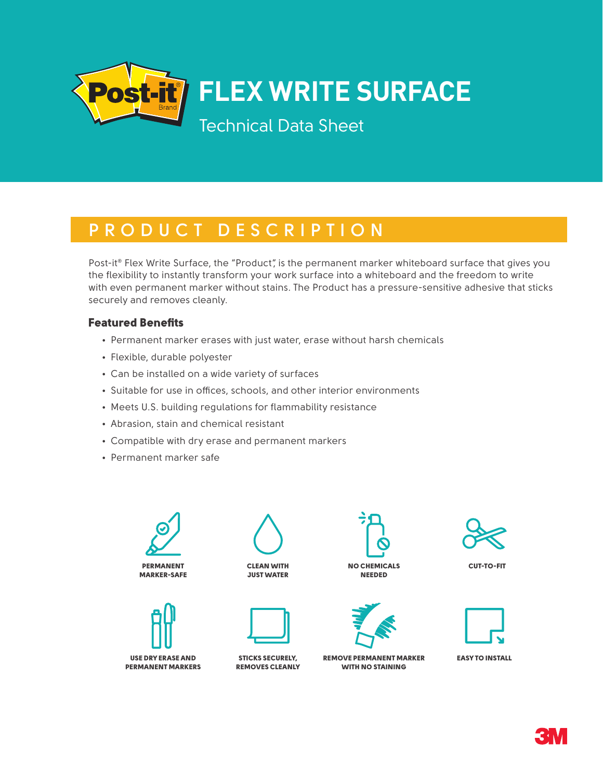

### **PRODUCT DESCRIPTION**

Post-it® Flex Write Surface, the "Product", is the permanent marker whiteboard surface that gives you the flexibility to instantly transform your work surface into a whiteboard and the freedom to write with even permanent marker without stains. The Product has a pressure-sensitive adhesive that sticks securely and removes cleanly.

#### Featured Benefits

- Permanent marker erases with just water, erase without harsh chemicals
- Flexible, durable polyester
- Can be installed on a wide variety of surfaces
- Suitable for use in offices, schools, and other interior environments
- Meets U.S. building regulations for flammability resistance
- Abrasion, stain and chemical resistant
- Compatible with dry erase and permanent markers
- Permanent marker safe





USE DRY ERASE AND PERMANENT MARKERS





STICKS SECURELY, REMOVES CLEANLY





REMOVE PERMANENT MARKER WITH NO STAINING





EASY TO INSTALL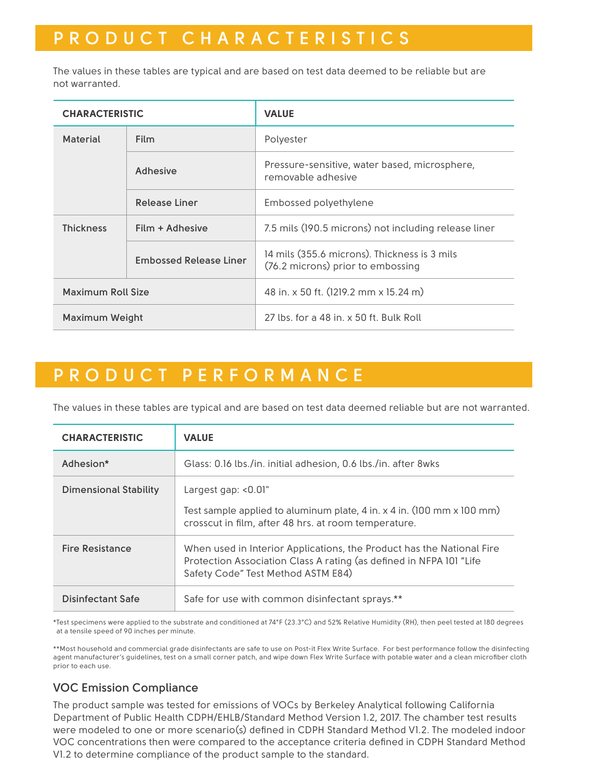# **PRODUCT CHARACTERISTICS**

The values in these tables are typical and are based on test data deemed to be reliable but are not warranted.

| <b>CHARACTERISTIC</b>    |                               | <b>VALUE</b>                                                                      |  |
|--------------------------|-------------------------------|-----------------------------------------------------------------------------------|--|
| <b>Material</b>          | <b>Film</b>                   | Polyester                                                                         |  |
|                          | <b>Adhesive</b>               | Pressure-sensitive, water based, microsphere,<br>removable adhesive               |  |
|                          | Release Liner                 | Embossed polyethylene                                                             |  |
| <b>Thickness</b>         | Film + Adhesive               | 7.5 mils (190.5 microns) not including release liner                              |  |
|                          | <b>Embossed Release Liner</b> | 14 mils (355.6 microns). Thickness is 3 mils<br>(76.2 microns) prior to embossing |  |
| <b>Maximum Roll Size</b> |                               | 48 in. x 50 ft. (1219.2 mm x 15.24 m)                                             |  |
| Maximum Weight           |                               | 27 lbs. for a 48 in. x 50 ft. Bulk Roll                                           |  |

## **PRODUCT PERFORMANCE**

The values in these tables are typical and are based on test data deemed reliable but are not warranted.

| <b>CHARACTERISTIC</b>        | <b>VALUE</b>                                                                                                                                                                       |
|------------------------------|------------------------------------------------------------------------------------------------------------------------------------------------------------------------------------|
| Adhesion*                    | Glass: 0.16 lbs./in. initial adhesion, 0.6 lbs./in. after 8wks                                                                                                                     |
| <b>Dimensional Stability</b> | Largest gap: <0.01"<br>Test sample applied to aluminum plate, $4$ in. $x$ 4 in. (100 mm $x$ 100 mm)<br>crosscut in film, after 48 hrs. at room temperature.                        |
| <b>Fire Resistance</b>       | When used in Interior Applications, the Product has the National Fire<br>Protection Association Class A rating (as defined in NFPA 101 "Life<br>Safety Code" Test Method ASTM E84) |
| Disinfectant Safe            | Safe for use with common disinfectant sprays.**                                                                                                                                    |

\* Test specimens were applied to the substrate and conditioned at 74°F (23.3°C) and 52% Relative Humidity (RH), then peel tested at 180 degrees at a tensile speed of 90 inches per minute.

\*\*Most household and commercial grade disinfectants are safe to use on Post-it Flex Write Surface. For best performance follow the disinfecting agent manufacturer's guidelines, test on a small corner patch, and wipe down Flex Write Surface with potable water and a clean microfiber cloth prior to each use.

### **VOC Emission Compliance**

The product sample was tested for emissions of VOCs by Berkeley Analytical following California Department of Public Health CDPH/EHLB/Standard Method Version 1.2, 2017. The chamber test results were modeled to one or more scenario(s) defined in CDPH Standard Method V1.2. The modeled indoor VOC concentrations then were compared to the acceptance criteria defined in CDPH Standard Method V1.2 to determine compliance of the product sample to the standard.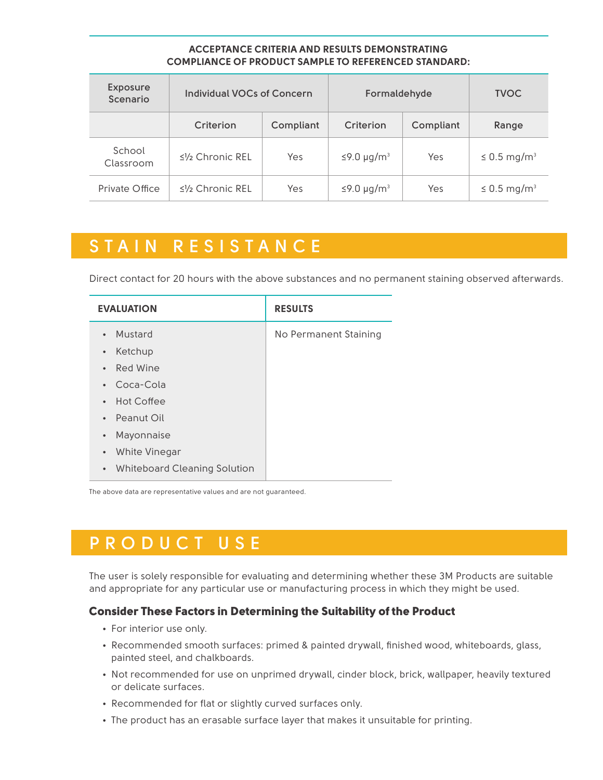#### **ACCEPTANCE CRITERIA AND RESULTS DEMONSTRATING COMPLIANCE OF PRODUCT SAMPLE TO REFERENCED STANDARD:**

| <b>Exposure</b><br>Scenario | <b>Individual VOCs of Concern</b>              |           | Formaldehyde                 |           | <b>TVOC</b>                  |
|-----------------------------|------------------------------------------------|-----------|------------------------------|-----------|------------------------------|
|                             | Criterion                                      | Compliant | Criterion                    | Compliant | Range                        |
| School<br>Classroom         | $\leq$ <sup>1</sup> / <sub>2</sub> Chronic REL | Yes       | $\leq$ 9.0 µg/m <sup>3</sup> | Yes       | $\leq$ 0.5 mg/m <sup>3</sup> |
| Private Office              | $\leq$ <sup>1</sup> / <sub>2</sub> Chronic REL | Yes       | $\leq$ 9.0 µg/m <sup>3</sup> | Yes       | $\leq$ 0.5 mg/m <sup>3</sup> |

### **STAIN RESISTANCE**

Direct contact for 20 hours with the above substances and no permanent staining observed afterwards.

| <b>EVALUATION</b>                                | <b>RESULTS</b>        |  |  |
|--------------------------------------------------|-----------------------|--|--|
| Mustard<br>$\bullet$                             | No Permanent Staining |  |  |
| Ketchup<br>$\bullet$                             |                       |  |  |
| Red Wine<br>$\bullet$                            |                       |  |  |
| Coca-Cola<br>$\bullet$                           |                       |  |  |
| <b>Hot Coffee</b><br>$\bullet$                   |                       |  |  |
| • Peanut Oil                                     |                       |  |  |
| Mayonnaise<br>$\bullet$                          |                       |  |  |
| White Vinegar<br>$\bullet$                       |                       |  |  |
| <b>Whiteboard Cleaning Solution</b><br>$\bullet$ |                       |  |  |

The above data are representative values and are not guaranteed.

# **PRODUCT USE**

The user is solely responsible for evaluating and determining whether these 3M Products are suitable and appropriate for any particular use or manufacturing process in which they might be used.

#### Consider These Factors in Determining the Suitability of the Product

- For interior use only.
- Recommended smooth surfaces: primed & painted drywall, finished wood, whiteboards, glass, painted steel, and chalkboards.
- Not recommended for use on unprimed drywall, cinder block, brick, wallpaper, heavily textured or delicate surfaces.
- Recommended for flat or slightly curved surfaces only.
- The product has an erasable surface layer that makes it unsuitable for printing.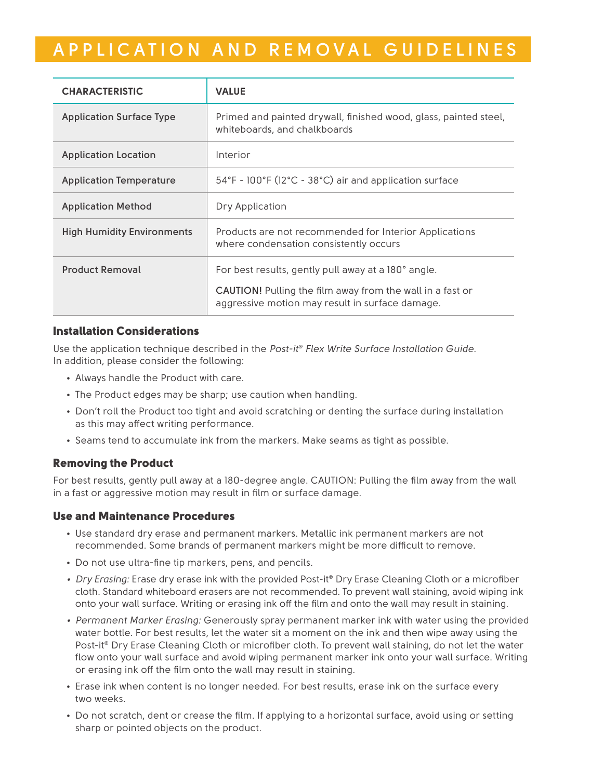# **APPLICATION AND REMOVAL GUIDELINES**

| <b>CHARACTERISTIC</b>             | <b>VALUE</b>                                                                                                                                                               |  |  |
|-----------------------------------|----------------------------------------------------------------------------------------------------------------------------------------------------------------------------|--|--|
| <b>Application Surface Type</b>   | Primed and painted drywall, finished wood, glass, painted steel,<br>whiteboards, and chalkboards                                                                           |  |  |
| <b>Application Location</b>       | Interior                                                                                                                                                                   |  |  |
| <b>Application Temperature</b>    | 54°F - 100°F (12°C - 38°C) air and application surface                                                                                                                     |  |  |
| <b>Application Method</b>         | Dry Application                                                                                                                                                            |  |  |
| <b>High Humidity Environments</b> | Products are not recommended for Interior Applications<br>where condensation consistently occurs                                                                           |  |  |
| <b>Product Removal</b>            | For best results, gently pull away at a 180° angle.<br><b>CAUTION!</b> Pulling the film away from the wall in a fast or<br>aggressive motion may result in surface damage. |  |  |

#### Installation Considerations

Use the application technique described in the *Post-it® Flex Write Surface Installation Guide.* In addition, please consider the following:

- Always handle the Product with care.
- The Product edges may be sharp; use caution when handling.
- Don't roll the Product too tight and avoid scratching or denting the surface during installation as this may affect writing performance.
- Seams tend to accumulate ink from the markers. Make seams as tight as possible.

#### Removing the Product

For best results, gently pull away at a 180-degree angle. CAUTION: Pulling the film away from the wall in a fast or aggressive motion may result in film or surface damage.

#### Use and Maintenance Procedures

- Use standard dry erase and permanent markers. Metallic ink permanent markers are not recommended. Some brands of permanent markers might be more difficult to remove.
- Do not use ultra-fine tip markers, pens, and pencils.
- Dry Erasing: Erase dry erase ink with the provided Post-it® Dry Erase Cleaning Cloth or a microfiber cloth. Standard whiteboard erasers are not recommended. To prevent wall staining, avoid wiping ink onto your wall surface. Writing or erasing ink off the film and onto the wall may result in staining.
- *Permanent Marker Erasing:* Generously spray permanent marker ink with water using the provided water bottle. For best results, let the water sit a moment on the ink and then wipe away using the Post-it® Dry Erase Cleaning Cloth or microfiber cloth. To prevent wall staining, do not let the water flow onto your wall surface and avoid wiping permanent marker ink onto your wall surface. Writing or erasing ink off the film onto the wall may result in staining.
- Erase ink when content is no longer needed. For best results, erase ink on the surface every two weeks.
- Do not scratch, dent or crease the film. If applying to a horizontal surface, avoid using or setting sharp or pointed objects on the product.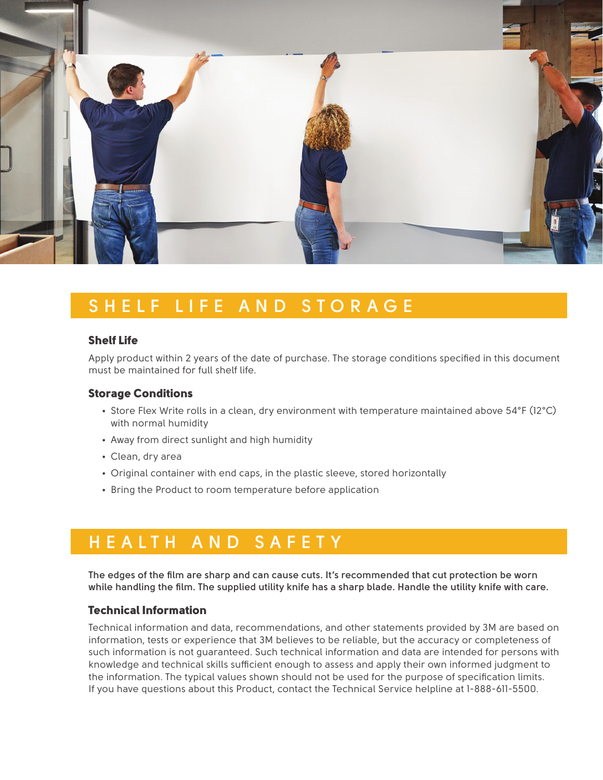

# **SHELF LIFE AND STORAGE**

#### Shelf Life

Apply product within 2 years of the date of purchase. The storage conditions specified in this document must be maintained for full shelf life.

#### Storage Conditions

- Store Flex Write rolls in a clean, dry environment with temperature maintained above 54°F (12°C) with normal humidity
- Away from direct sunlight and high humidity
- Clean, dry area
- Original container with end caps, in the plastic sleeve, stored horizontally
- Bring the Product to room temperature before application

# **HEALTH AND SAFETY**

**The edges of the film are sharp and can cause cuts. It's recommended that cut protection be worn while handling the film. The supplied utility knife has a sharp blade. Handle the utility knife with care.**

#### Technical Information

Technical information and data, recommendations, and other statements provided by 3M are based on information, tests or experience that 3M believes to be reliable, but the accuracy or completeness of such information is not guaranteed. Such technical information and data are intended for persons with knowledge and technical skills sufficient enough to assess and apply their own informed judgment to the information. The typical values shown should not be used for the purpose of specification limits. If you have questions about this Product, contact the Technical Service helpline at 1-888-611-5500.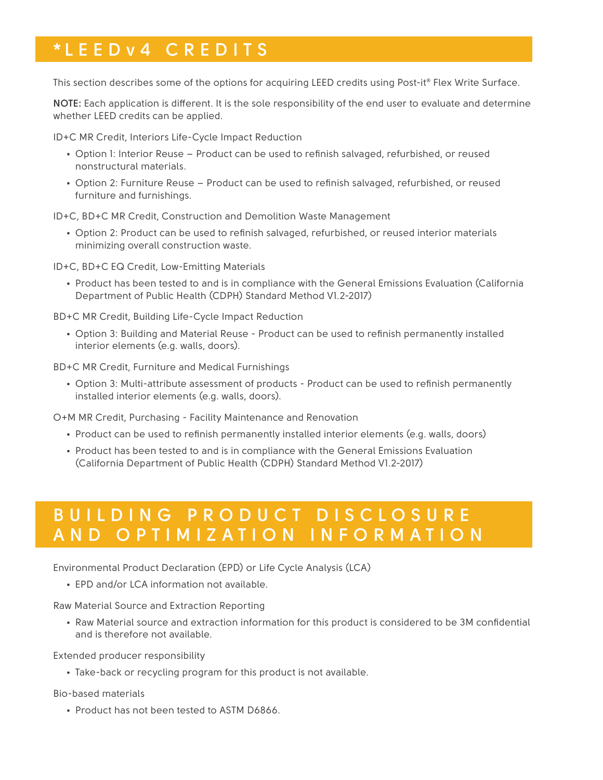## **\*L E ED v 4 CREDITS**

This section describes some of the options for acquiring LEED credits using Post-it® Flex Write Surface.

**NOTE:** Each application is different. It is the sole responsibility of the end user to evaluate and determine whether LEED credits can be applied.

ID+C MR Credit, Interiors Life-Cycle Impact Reduction

- Option 1: Interior Reuse Product can be used to refinish salvaged, refurbished, or reused nonstructural materials.
- Option 2: Furniture Reuse Product can be used to refinish salvaged, refurbished, or reused furniture and furnishings.

ID+C, BD+C MR Credit, Construction and Demolition Waste Management

• Option 2: Product can be used to refinish salvaged, refurbished, or reused interior materials minimizing overall construction waste.

ID+C, BD+C EQ Credit, Low-Emitting Materials

• Product has been tested to and is in compliance with the General Emissions Evaluation (California Department of Public Health (CDPH) Standard Method V1.2-2017)

BD+C MR Credit, Building Life-Cycle Impact Reduction

• Option 3: Building and Material Reuse - Product can be used to refinish permanently installed interior elements (e.g. walls, doors).

BD+C MR Credit, Furniture and Medical Furnishings

• Option 3: Multi-attribute assessment of products - Product can be used to refinish permanently installed interior elements (e.g. walls, doors).

O+M MR Credit, Purchasing - Facility Maintenance and Renovation

- Product can be used to refinish permanently installed interior elements (e.g. walls, doors)
- Product has been tested to and is in compliance with the General Emissions Evaluation (California Department of Public Health (CDPH) Standard Method V1.2-2017)

### **B U I L D I N G P R O D U C T D I S C L O S U R E AND OPTIMIZATION INFORMATION**

Environmental Product Declaration (EPD) or Life Cycle Analysis (LCA)

• EPD and/or LCA information not available.

Raw Material Source and Extraction Reporting

• Raw Material source and extraction information for this product is considered to be 3M confidential and is therefore not available.

Extended producer responsibility

• Take-back or recycling program for this product is not available.

Bio-based materials

• Product has not been tested to ASTM D6866.